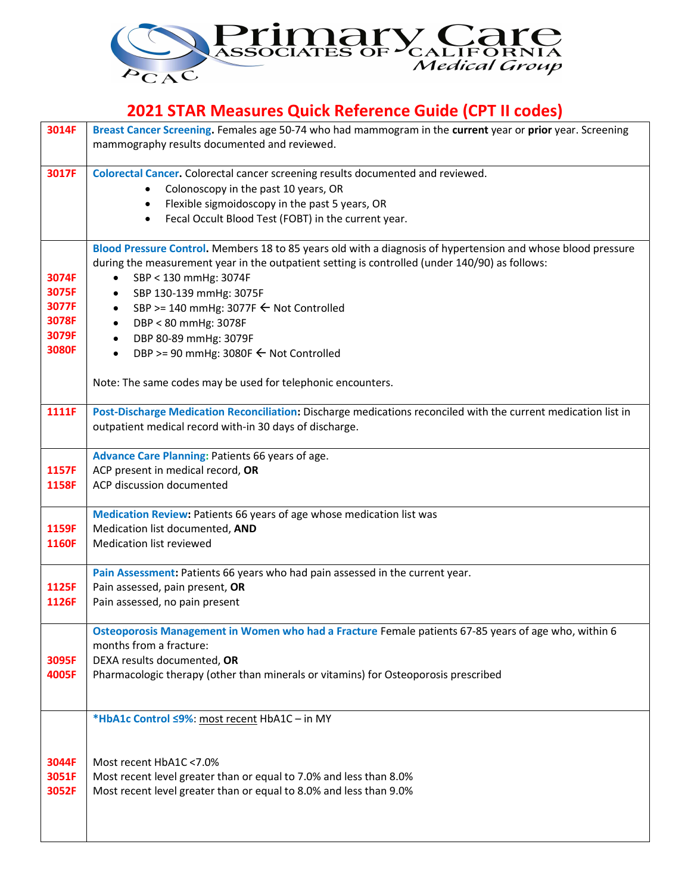

## 2021 STAR Measures Quick Reference Guide (CPT II codes)

| 3014F          | Breast Cancer Screening. Females age 50-74 who had mammogram in the current year or prior year. Screening      |
|----------------|----------------------------------------------------------------------------------------------------------------|
|                | mammography results documented and reviewed.                                                                   |
| 3017F          | Colorectal Cancer. Colorectal cancer screening results documented and reviewed.                                |
|                | Colonoscopy in the past 10 years, OR                                                                           |
|                | Flexible sigmoidoscopy in the past 5 years, OR<br>$\bullet$                                                    |
|                | Fecal Occult Blood Test (FOBT) in the current year.<br>$\bullet$                                               |
|                | Blood Pressure Control. Members 18 to 85 years old with a diagnosis of hypertension and whose blood pressure   |
|                | during the measurement year in the outpatient setting is controlled (under 140/90) as follows:                 |
| 3074F          | SBP < 130 mmHg: 3074F<br>$\bullet$                                                                             |
| 3075F          | SBP 130-139 mmHg: 3075F<br>$\bullet$                                                                           |
| 3077F          | SBP >= 140 mmHg: 3077F ← Not Controlled<br>$\bullet$                                                           |
| 3078F          | DBP < 80 mmHg: 3078F<br>$\bullet$                                                                              |
| 3079F<br>3080F | DBP 80-89 mmHg: 3079F<br>$\bullet$                                                                             |
|                | DBP >= 90 mmHg: 3080F ← Not Controlled<br>$\bullet$                                                            |
|                | Note: The same codes may be used for telephonic encounters.                                                    |
|                |                                                                                                                |
| 1111F          | Post-Discharge Medication Reconciliation: Discharge medications reconciled with the current medication list in |
|                | outpatient medical record with-in 30 days of discharge.                                                        |
|                | Advance Care Planning: Patients 66 years of age.                                                               |
| 1157F          | ACP present in medical record, OR                                                                              |
| 1158F          | ACP discussion documented                                                                                      |
|                |                                                                                                                |
| 1159F          | Medication Review: Patients 66 years of age whose medication list was<br>Medication list documented, AND       |
| 1160F          | Medication list reviewed                                                                                       |
|                |                                                                                                                |
|                | Pain Assessment: Patients 66 years who had pain assessed in the current year.                                  |
| 1125F          | Pain assessed, pain present, OR                                                                                |
| 1126F          | Pain assessed, no pain present                                                                                 |
|                | Osteoporosis Management in Women who had a Fracture Female patients 67-85 years of age who, within 6           |
|                | months from a fracture:                                                                                        |
| 3095F          | DEXA results documented, OR                                                                                    |
| 4005F          | Pharmacologic therapy (other than minerals or vitamins) for Osteoporosis prescribed                            |
|                |                                                                                                                |
|                | *HbA1c Control <9%: most recent HbA1C - in MY                                                                  |
|                |                                                                                                                |
| 3044F          | Most recent HbA1C <7.0%                                                                                        |
| 3051F          | Most recent level greater than or equal to 7.0% and less than 8.0%                                             |
| 3052F          | Most recent level greater than or equal to 8.0% and less than 9.0%                                             |
|                |                                                                                                                |
|                |                                                                                                                |
|                |                                                                                                                |